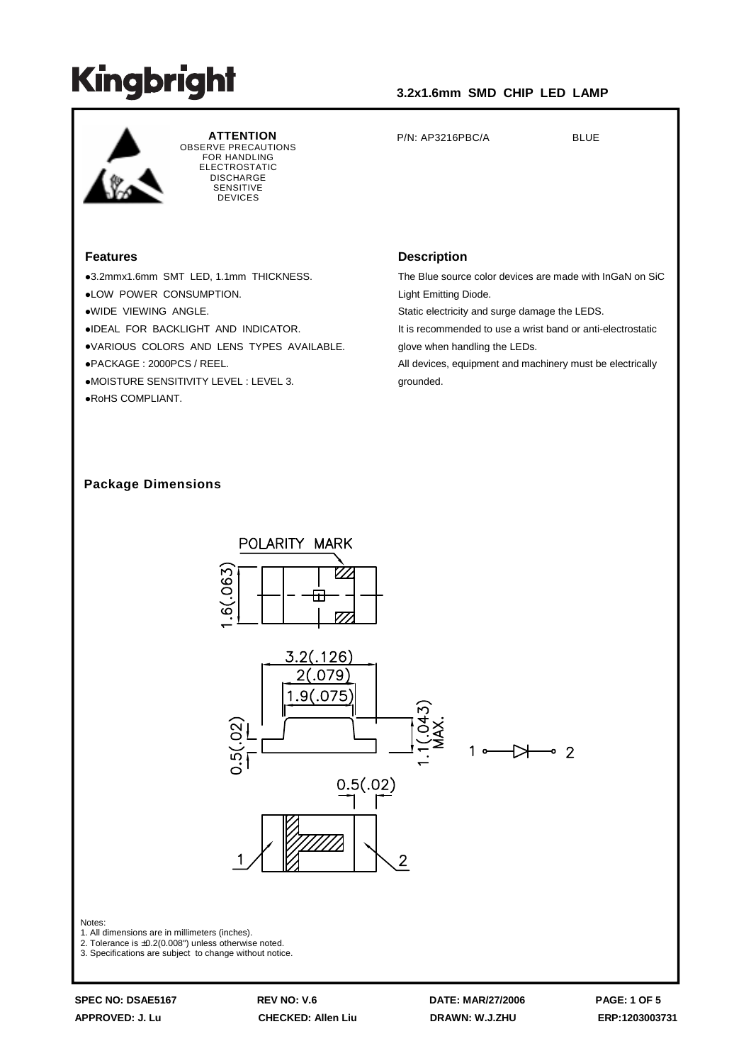

**ATTENTION** OBSERVE PRECAUTIONS FOR HANDLING ELECTROSTATIC **DISCHARGE SENSITIVE** DEVICES

#### **Features**

3.2mmx1.6mm SMT LED, 1.1mm THICKNESS. LOW POWER CONSUMPTION. WIDE VIEWING ANGLE. IDEAL FOR BACKLIGHT AND INDICATOR. VARIOUS COLORS AND LENS TYPES AVAILABLE. PACKAGE : 2000PCS / REEL. MOISTURE SENSITIVITY LEVEL : LEVEL 3. RoHS COMPLIANT.

#### **Description**

The Blue source color devices are made with InGaN on SiC Light Emitting Diode.

Static electricity and surge damage the LEDS.

P/N: AP3216PBC/A BLUE

It is recommended to use a wrist band or anti-electrostatic glove when handling the LEDs.

All devices, equipment and machinery must be electrically grounded.

#### **Package Dimensions**



Notes:

1. All dimensions are in millimeters (inches).

2. Tolerance is ±0.2(0.008") unless otherwise noted.

3. Specifications are subject to change without notice.

**SPEC NO: DSAE5167 REV NO: V.6 DATE: MAR/27/2006 PAGE: 1 OF 5 APPROVED: J. Lu CHECKED: Allen Liu DRAWN: W.J.ZHU ERP:1203003731**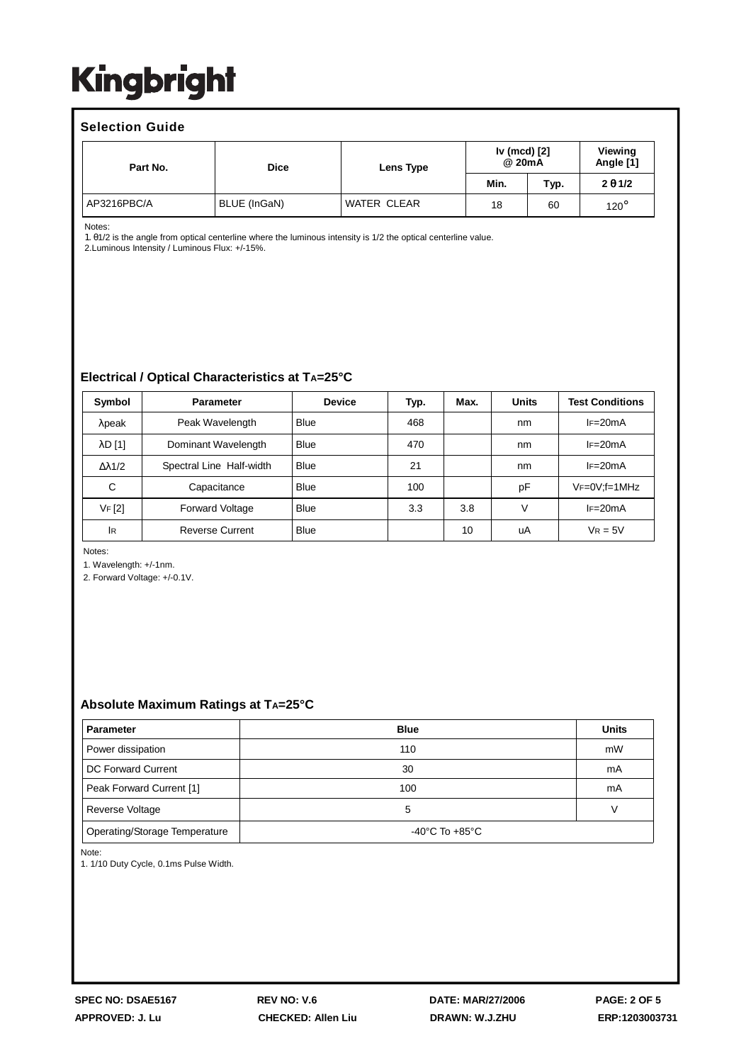#### **Selection Guide**

| Part No.    | <b>Dice</b>  | Lens Type   | Iv (mcd) [2]<br>@ 20mA |      | Viewing<br>Angle [1] |
|-------------|--------------|-------------|------------------------|------|----------------------|
|             |              |             | Min.                   | Typ. | $2 \theta 1/2$       |
| AP3216PBC/A | BLUE (InGaN) | WATER CLEAR | 18                     | 60   | $120^\circ$          |

Notes:

1. θ1/2 is the angle from optical centerline where the luminous intensity is 1/2 the optical centerline value.

2.Luminous Intensity / Luminous Flux: +/-15%.

#### **Electrical / Optical Characteristics at TA=25°C**

| Symbol               | <b>Parameter</b>         | <b>Device</b> | Typ. | Max. | <b>Units</b> | <b>Test Conditions</b> |
|----------------------|--------------------------|---------------|------|------|--------------|------------------------|
| $\lambda$ peak       | Peak Wavelength          | <b>Blue</b>   | 468  |      | nm           | $IF=20mA$              |
| $\lambda$ D $[1]$    | Dominant Wavelength      | <b>Blue</b>   | 470  |      | nm           | $IF=20mA$              |
| $\Delta \lambda$ 1/2 | Spectral Line Half-width | <b>Blue</b>   | 21   |      | nm           | $IF=20mA$              |
| C                    | Capacitance              | <b>Blue</b>   | 100  |      | pF           | $VF=0V; f=1MHz$        |
| VF [2]               | <b>Forward Voltage</b>   | <b>Blue</b>   | 3.3  | 3.8  | V            | $IF=20mA$              |
| 1R                   | <b>Reverse Current</b>   | <b>Blue</b>   |      | 10   | uA           | $V_R = 5V$             |

Notes:

1. Wavelength: +/-1nm.

2. Forward Voltage: +/-0.1V.

#### **Absolute Maximum Ratings at TA=25°C**

| <b>Parameter</b>              | <b>Blue</b>    | <b>Units</b> |  |
|-------------------------------|----------------|--------------|--|
| Power dissipation             | 110            | mW           |  |
| DC Forward Current            | 30             | mA           |  |
| Peak Forward Current [1]      | 100            | mA           |  |
| Reverse Voltage               | 5              | V            |  |
| Operating/Storage Temperature | -40°C To +85°C |              |  |

Note:

1. 1/10 Duty Cycle, 0.1ms Pulse Width.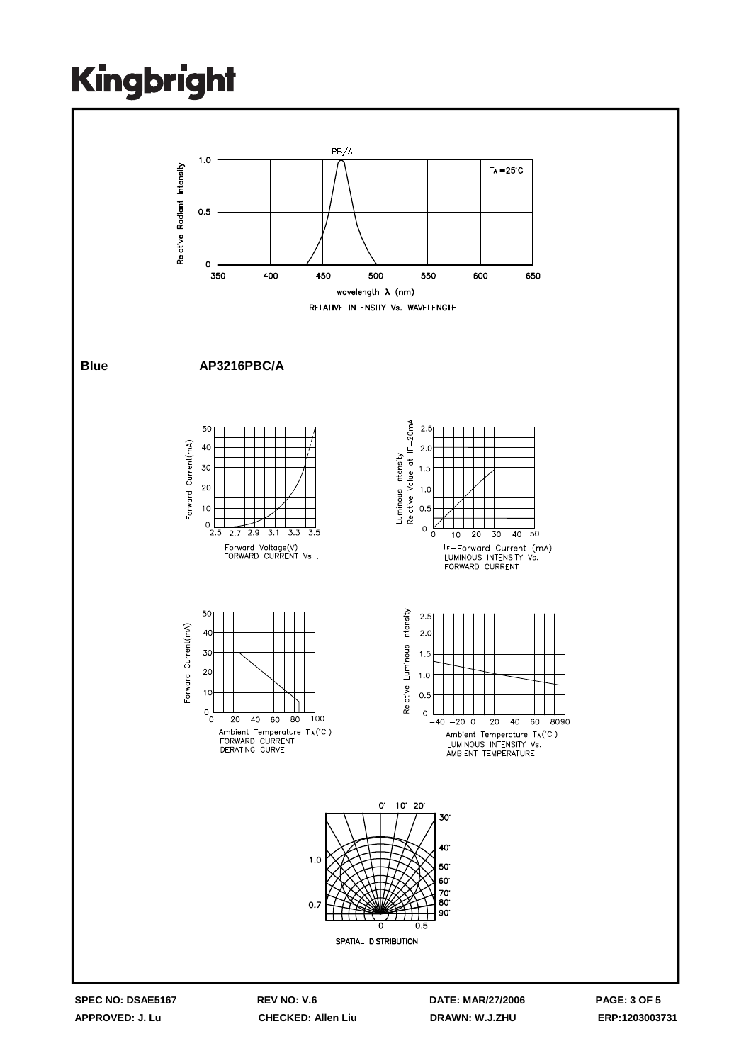

**SPEC NO: DSAE5167 REV NO: V.6 DATE: MAR/27/2006 PAGE: 3 OF 5**

**APPROVED: J. Lu CHECKED: Allen Liu DRAWN: W.J.ZHU ERP:1203003731**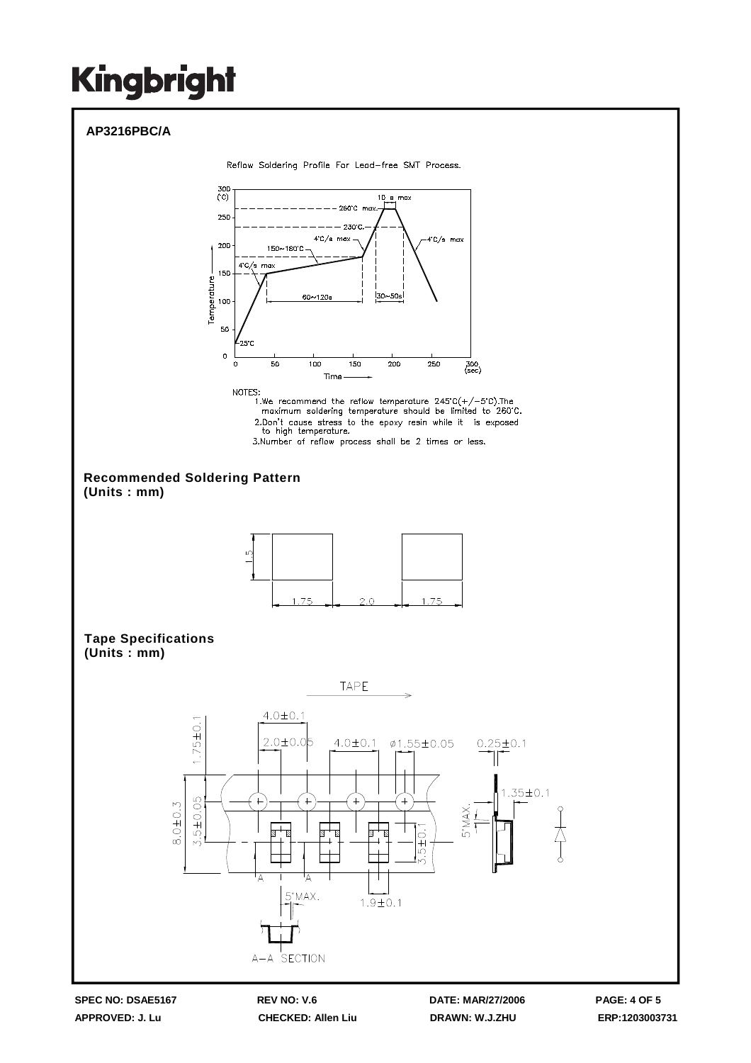

**APPROVED: J. Lu CHECKED: Allen Liu DRAWN: W.J.ZHU ERP:1203003731**